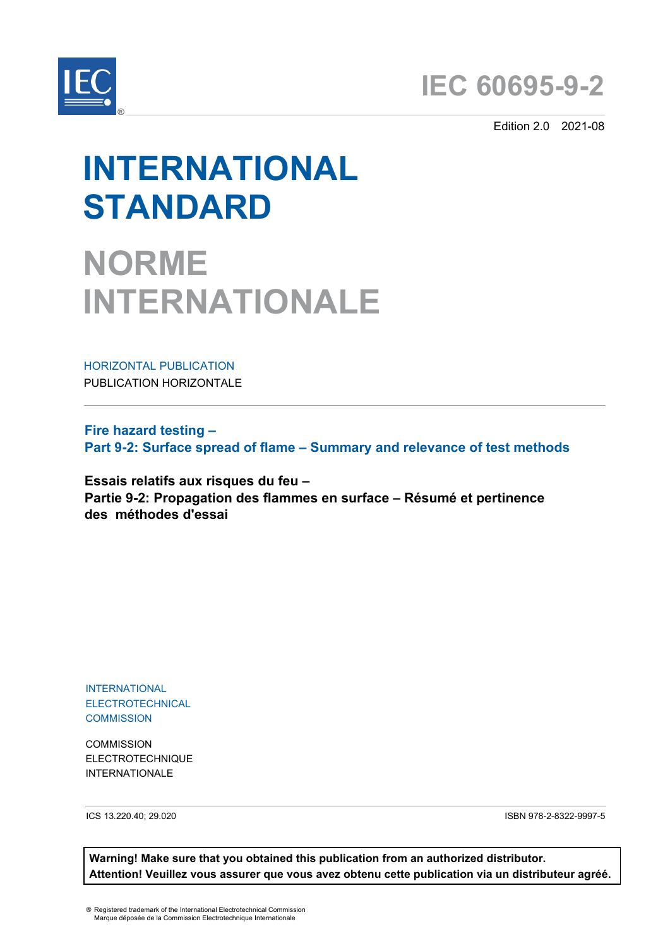

Edition 2.0 2021-08

# **INTERNATIONAL STANDARD**

**NORME INTERNATIONALE**

HORIZONTAL PUBLICATION PUBLICATION HORIZONTALE

**Fire hazard testing – Part 9-2: Surface spread of flame – Summary and relevance of test methods**

**Essais relatifs aux risques du feu – Partie 9-2: Propagation des flammes en surface – Résumé et pertinence des méthodes d'essai**

INTERNATIONAL ELECTROTECHNICAL **COMMISSION** 

**COMMISSION** ELECTROTECHNIQUE INTERNATIONALE

ICS 13.220.40; 29.020 ISBN 978-2-8322-9997-5

**Warning! Make sure that you obtained this publication from an authorized distributor. Attention! Veuillez vous assurer que vous avez obtenu cette publication via un distributeur agréé.**

® Registered trademark of the International Electrotechnical Commission Marque déposée de la Commission Electrotechnique Internationale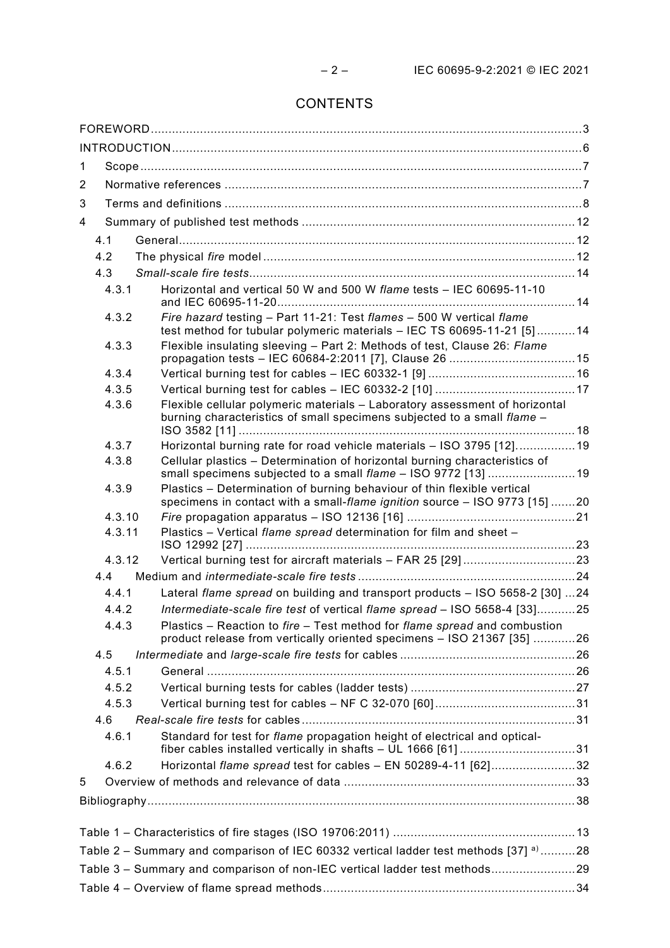# CONTENTS

| 1                                                                                     |        |                                                                                                                                                        |  |  |
|---------------------------------------------------------------------------------------|--------|--------------------------------------------------------------------------------------------------------------------------------------------------------|--|--|
| $\overline{2}$                                                                        |        |                                                                                                                                                        |  |  |
| 3                                                                                     |        |                                                                                                                                                        |  |  |
| 4                                                                                     |        |                                                                                                                                                        |  |  |
|                                                                                       | 4.1    |                                                                                                                                                        |  |  |
|                                                                                       | 4.2    |                                                                                                                                                        |  |  |
|                                                                                       | 4.3    |                                                                                                                                                        |  |  |
|                                                                                       | 4.3.1  | Horizontal and vertical 50 W and 500 W flame tests - IEC 60695-11-10                                                                                   |  |  |
|                                                                                       | 4.3.2  | Fire hazard testing - Part 11-21: Test flames - 500 W vertical flame<br>test method for tubular polymeric materials - IEC TS 60695-11-21 [5]14         |  |  |
|                                                                                       | 4.3.3  | Flexible insulating sleeving - Part 2: Methods of test, Clause 26: Flame                                                                               |  |  |
|                                                                                       | 4.3.4  |                                                                                                                                                        |  |  |
|                                                                                       | 4.3.5  |                                                                                                                                                        |  |  |
|                                                                                       | 4.3.6  | Flexible cellular polymeric materials - Laboratory assessment of horizontal<br>burning characteristics of small specimens subjected to a small flame - |  |  |
|                                                                                       | 4.3.7  | Horizontal burning rate for road vehicle materials - ISO 3795 [12]19                                                                                   |  |  |
|                                                                                       | 4.3.8  | Cellular plastics - Determination of horizontal burning characteristics of<br>small specimens subjected to a small flame - ISO 9772 [13]  19           |  |  |
|                                                                                       | 4.3.9  | Plastics - Determination of burning behaviour of thin flexible vertical<br>specimens in contact with a small-flame ignition source - ISO 9773 [15] 20  |  |  |
|                                                                                       | 4.3.10 |                                                                                                                                                        |  |  |
|                                                                                       | 4.3.11 | Plastics - Vertical flame spread determination for film and sheet -                                                                                    |  |  |
|                                                                                       | 4.3.12 |                                                                                                                                                        |  |  |
|                                                                                       | 4.4    |                                                                                                                                                        |  |  |
|                                                                                       | 4.4.1  | Lateral flame spread on building and transport products - ISO 5658-2 [30] 24                                                                           |  |  |
|                                                                                       | 4.4.2  | Intermediate-scale fire test of vertical flame spread - ISO 5658-4 [33]25                                                                              |  |  |
|                                                                                       | 4.4.3  | Plastics – Reaction to fire – Test method for flame spread and combustion<br>product release from vertically oriented specimens - ISO 21367 [35] 26    |  |  |
|                                                                                       | 4.5    |                                                                                                                                                        |  |  |
|                                                                                       | 4.5.1  |                                                                                                                                                        |  |  |
|                                                                                       | 4.5.2  |                                                                                                                                                        |  |  |
|                                                                                       | 4.5.3  |                                                                                                                                                        |  |  |
|                                                                                       | 4.6    |                                                                                                                                                        |  |  |
|                                                                                       | 4.6.1  | Standard for test for flame propagation height of electrical and optical-<br>fiber cables installed vertically in shafts - UL 1666 [61] 31             |  |  |
|                                                                                       | 4.6.2  | Horizontal flame spread test for cables - EN 50289-4-11 [62]32                                                                                         |  |  |
| 5                                                                                     |        |                                                                                                                                                        |  |  |
|                                                                                       |        |                                                                                                                                                        |  |  |
|                                                                                       |        |                                                                                                                                                        |  |  |
| Table 2 - Summary and comparison of IEC 60332 vertical ladder test methods [37] a) 28 |        |                                                                                                                                                        |  |  |
| Table 3 - Summary and comparison of non-IEC vertical ladder test methods29            |        |                                                                                                                                                        |  |  |
|                                                                                       |        |                                                                                                                                                        |  |  |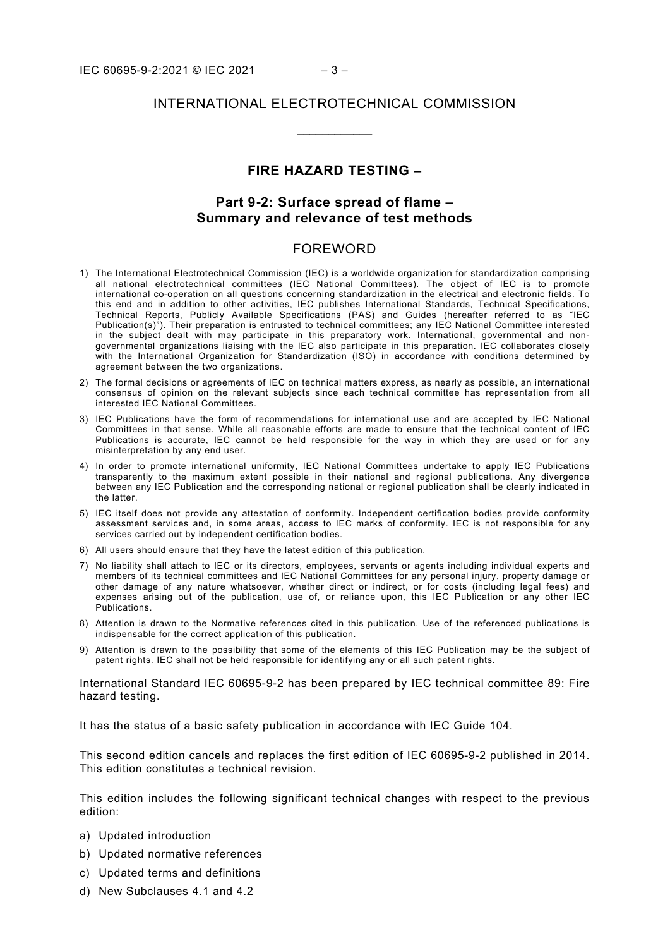## INTERNATIONAL ELECTROTECHNICAL COMMISSION

\_\_\_\_\_\_\_\_\_\_\_\_

# **FIRE HAZARD TESTING –**

# **Part 9-2: Surface spread of flame – Summary and relevance of test methods**

#### FOREWORD

- <span id="page-2-0"></span>1) The International Electrotechnical Commission (IEC) is a worldwide organization for standardization comprising all national electrotechnical committees (IEC National Committees). The object of IEC is to promote international co-operation on all questions concerning standardization in the electrical and electronic fields. To this end and in addition to other activities, IEC publishes International Standards, Technical Specifications, Technical Reports, Publicly Available Specifications (PAS) and Guides (hereafter referred to as "IEC Publication(s)"). Their preparation is entrusted to technical committees; any IEC National Committee interested in the subject dealt with may participate in this preparatory work. International, governmental and nongovernmental organizations liaising with the IEC also participate in this preparation. IEC collaborates closely with the International Organization for Standardization (ISO) in accordance with conditions determined by agreement between the two organizations.
- 2) The formal decisions or agreements of IEC on technical matters express, as nearly as possible, an international consensus of opinion on the relevant subjects since each technical committee has representation from all interested IEC National Committees.
- 3) IEC Publications have the form of recommendations for international use and are accepted by IEC National Committees in that sense. While all reasonable efforts are made to ensure that the technical content of IEC Publications is accurate, IEC cannot be held responsible for the way in which they are used or for any misinterpretation by any end user.
- 4) In order to promote international uniformity, IEC National Committees undertake to apply IEC Publications transparently to the maximum extent possible in their national and regional publications. Any divergence between any IEC Publication and the corresponding national or regional publication shall be clearly indicated in the latter.
- 5) IEC itself does not provide any attestation of conformity. Independent certification bodies provide conformity assessment services and, in some areas, access to IEC marks of conformity. IEC is not responsible for any services carried out by independent certification bodies.
- 6) All users should ensure that they have the latest edition of this publication.
- 7) No liability shall attach to IEC or its directors, employees, servants or agents including individual experts and members of its technical committees and IEC National Committees for any personal injury, property damage or other damage of any nature whatsoever, whether direct or indirect, or for costs (including legal fees) and expenses arising out of the publication, use of, or reliance upon, this IEC Publication or any other IEC Publications.
- 8) Attention is drawn to the Normative references cited in this publication. Use of the referenced publications is indispensable for the correct application of this publication.
- 9) Attention is drawn to the possibility that some of the elements of this IEC Publication may be the subject of patent rights. IEC shall not be held responsible for identifying any or all such patent rights.

International Standard IEC 60695-9-2 has been prepared by IEC technical committee 89: Fire hazard testing.

It has the status of a basic safety publication in accordance with IEC Guide 104.

This second edition cancels and replaces the first edition of IEC 60695-9-2 published in 2014. This edition constitutes a technical revision.

This edition includes the following significant technical changes with respect to the previous edition:

- a) Updated introduction
- b) Updated normative references
- c) Updated terms and definitions
- d) New Subclauses 4.1 and 4.2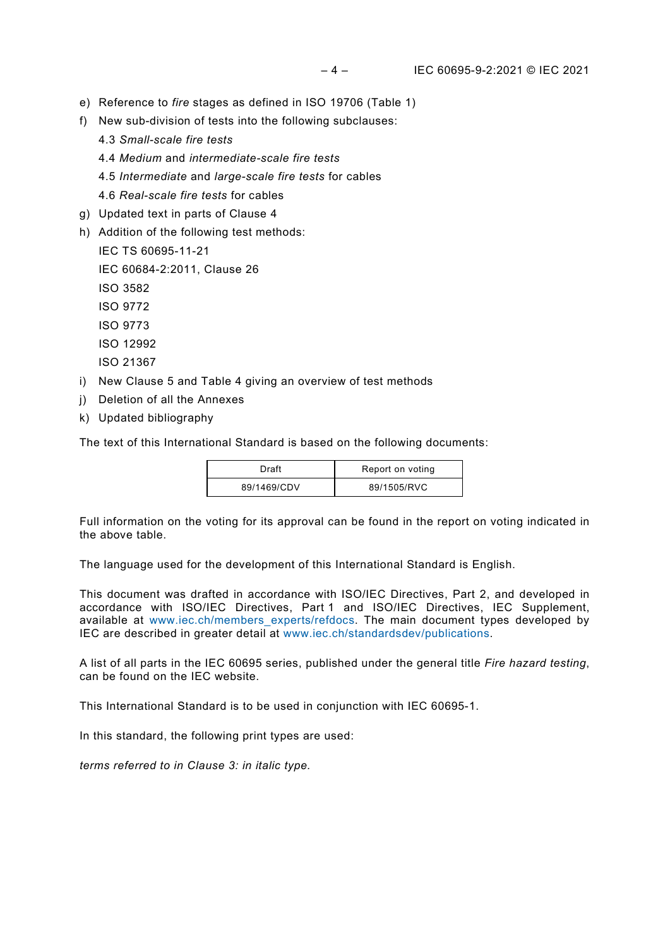- e) Reference to *fire* stages as defined in ISO 19706 (Table 1)
- f) New sub-division of tests into the following subclauses:
	- 4.3 *Small-scale fire tests*
	- 4.4 *Medium* and *intermediate-scale fire tests*
	- 4.5 *Intermediate* and *large-scale fire tests* for cables
	- 4.6 *Real-scale fire tests* for cables
- g) Updated text in parts of Clause 4
- h) Addition of the following test methods:
	- IEC TS 60695-11-21
	- IEC 60684-2:2011, Clause 26
	- ISO 3582
	- ISO 9772
	- ISO 9773
	- ISO 12992
	- ISO 21367
- i) New Clause 5 and Table 4 giving an overview of test methods
- j) Deletion of all the Annexes
- k) Updated bibliography

The text of this International Standard is based on the following documents:

| Draft       | Report on voting |
|-------------|------------------|
| 89/1469/CDV | 89/1505/RVC      |

Full information on the voting for its approval can be found in the report on voting indicated in the above table.

The language used for the development of this International Standard is English.

This document was drafted in accordance with ISO/IEC Directives, Part 2, and developed in accordance with ISO/IEC Directives, Part 1 and ISO/IEC Directives, IEC Supplement, available at [www.iec.ch/members\\_experts/refdocs.](http://www.iec.ch/members_experts/refdocs) The main document types developed by IEC are described in greater detail at [www.iec.ch/standardsdev/publications.](http://www.iec.ch/standardsdev/publications)

A list of all parts in the IEC 60695 series, published under the general title *Fire hazard testing*, can be found on the IEC website.

This International Standard is to be used in conjunction with IEC 60695-1.

In this standard, the following print types are used:

*terms referred to in Clause 3: in italic type.*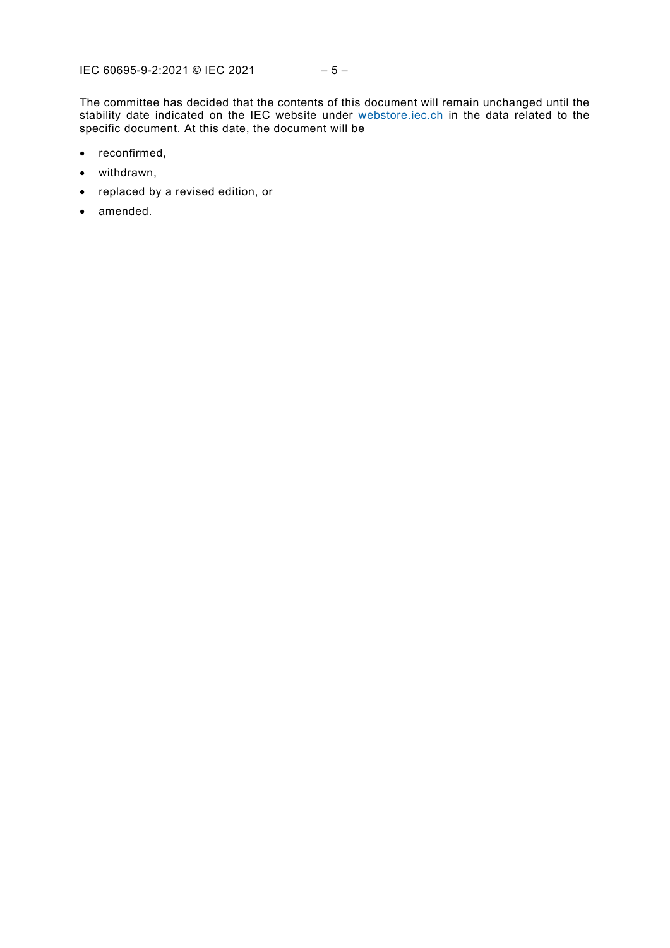The committee has decided that the contents of this document will remain unchanged until the stability date indicated on the IEC website under [webstore.iec.ch](https://webstore.iec.ch/?ref=menu) in the data related to the specific document. At this date, the document will be

- reconfirmed,
- withdrawn,
- replaced by a revised edition, or
- amended.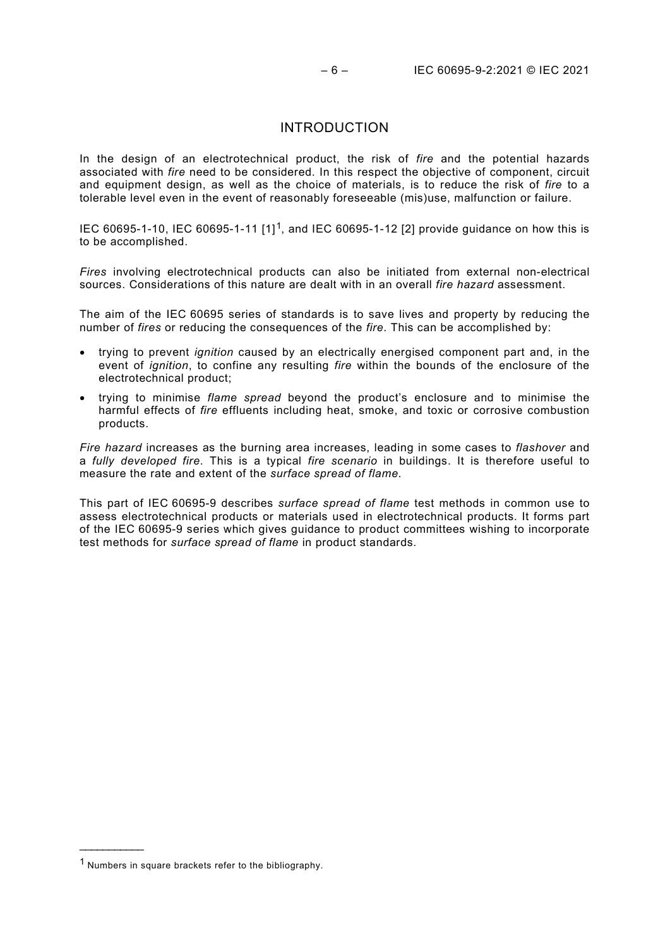#### INTRODUCTION

<span id="page-5-0"></span>In the design of an electrotechnical product, the risk of *fire* and the potential hazards associated with *fire* need to be considered. In this respect the objective of component, circuit and equipment design, as well as the choice of materials, is to reduce the risk of *fire* to a tolerable level even in the event of reasonably foreseeable (mis)use, malfunction or failure.

IEC 60695-1-10, IEC 60695-1-11 [1][1](#page-5-1), and IEC 60695-1-12 [2] provide guidance on how this is to be accomplished.

*Fires* involving electrotechnical products can also be initiated from external non-electrical sources. Considerations of this nature are dealt with in an overall *fire hazard* assessment.

The aim of the IEC 60695 series of standards is to save lives and property by reducing the number of *fires* or reducing the consequences of the *fire*. This can be accomplished by:

- trying to prevent *ignition* caused by an electrically energised component part and, in the event of *ignition*, to confine any resulting *fire* within the bounds of the enclosure of the electrotechnical product;
- trying to minimise *flame spread* beyond the product's enclosure and to minimise the harmful effects of *fire* effluents including heat, smoke, and toxic or corrosive combustion products.

*Fire hazard* increases as the burning area increases, leading in some cases to *flashover* and a *fully developed fire*. This is a typical *fire scenario* in buildings. It is therefore useful to measure the rate and extent of the *surface spread of flame*.

This part of IEC 60695-9 describes *surface spread of flame* test methods in common use to assess electrotechnical products or materials used in electrotechnical products. It forms part of the IEC 60695-9 series which gives guidance to product committees wishing to incorporate test methods for *surface spread of flame* in product standards.

\_\_\_\_\_\_\_\_\_\_\_\_\_\_\_

<span id="page-5-1"></span><sup>1</sup> Numbers in square brackets refer to the bibliography.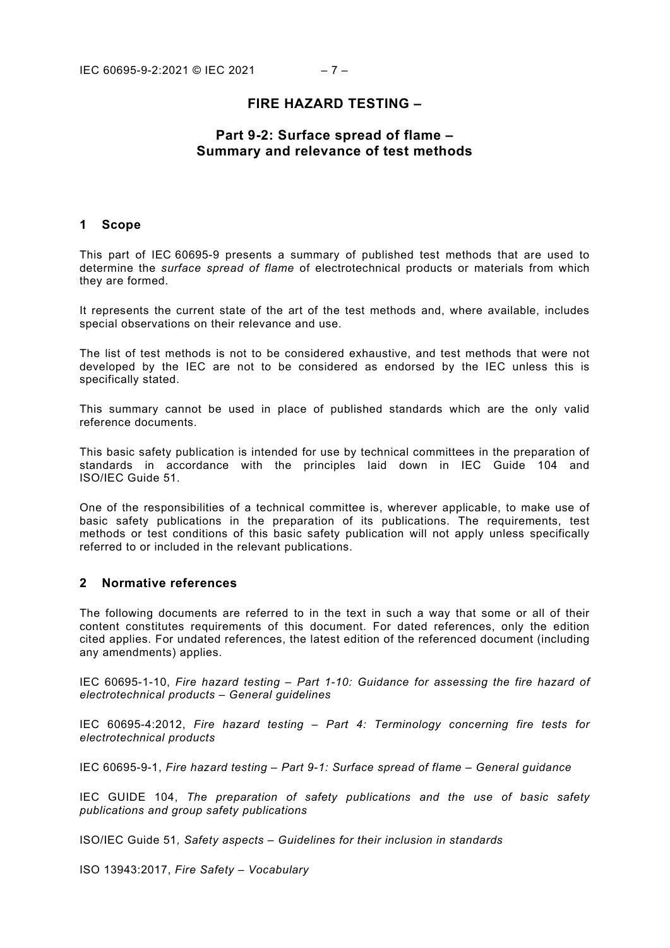# **FIRE HAZARD TESTING –**

# **Part 9-2: Surface spread of flame – Summary and relevance of test methods**

#### <span id="page-6-0"></span>**1 Scope**

This part of IEC 60695-9 presents a summary of published test methods that are used to determine the *surface spread of flame* of electrotechnical products or materials from which they are formed.

It represents the current state of the art of the test methods and, where available, includes special observations on their relevance and use.

The list of test methods is not to be considered exhaustive, and test methods that were not developed by the IEC are not to be considered as endorsed by the IEC unless this is specifically stated.

This summary cannot be used in place of published standards which are the only valid reference documents.

This basic safety publication is intended for use by technical committees in the preparation of standards in accordance with the principles laid down in IEC Guide 104 and ISO/IEC Guide 51.

One of the responsibilities of a technical committee is, wherever applicable, to make use of basic safety publications in the preparation of its publications. The requirements, test methods or test conditions of this basic safety publication will not apply unless specifically referred to or included in the relevant publications.

#### <span id="page-6-1"></span>**2 Normative references**

The following documents are referred to in the text in such a way that some or all of their content constitutes requirements of this document. For dated references, only the edition cited applies. For undated references, the latest edition of the referenced document (including any amendments) applies.

IEC 60695-1-10, *Fire hazard testing – Part 1-10: Guidance for assessing the fire hazard of electrotechnical products – General guidelines*

IEC 60695-4:2012, *Fire hazard testing – Part 4: Terminology concerning fire tests for electrotechnical products*

IEC 60695-9-1, *Fire hazard testing – Part 9-1: Surface spread of flame – General guidance*

IEC GUIDE 104, *The preparation of safety publications and the use of basic safety publications and group safety publications*

ISO/IEC Guide 51*, Safety aspects – Guidelines for their inclusion in standards*

ISO 13943:2017, *Fire Safety – Vocabulary*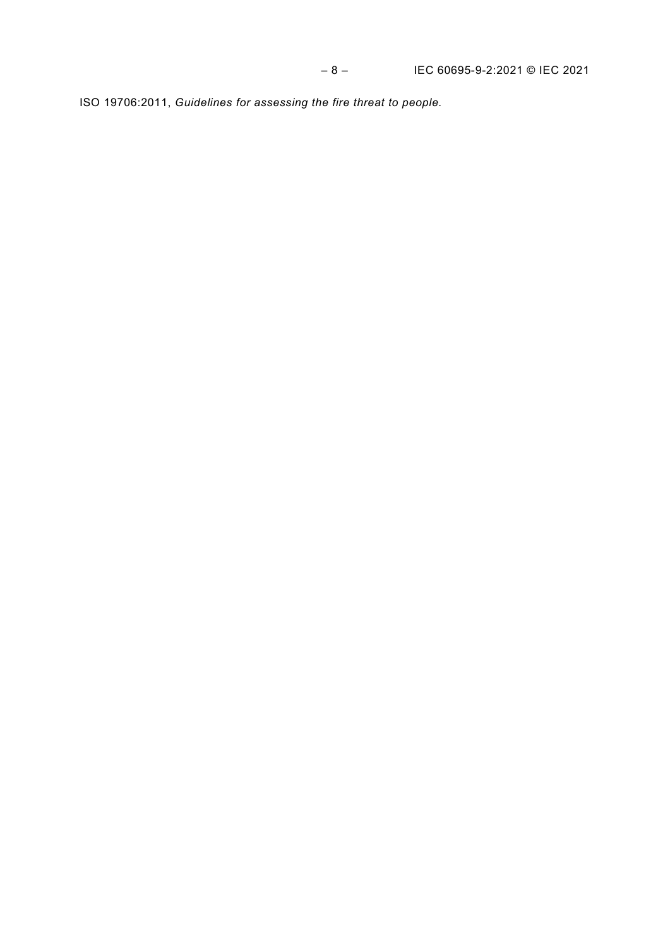<span id="page-7-4"></span><span id="page-7-3"></span><span id="page-7-2"></span><span id="page-7-1"></span><span id="page-7-0"></span>ISO 19706:2011, *Guidelines for assessing the fire threat to people.*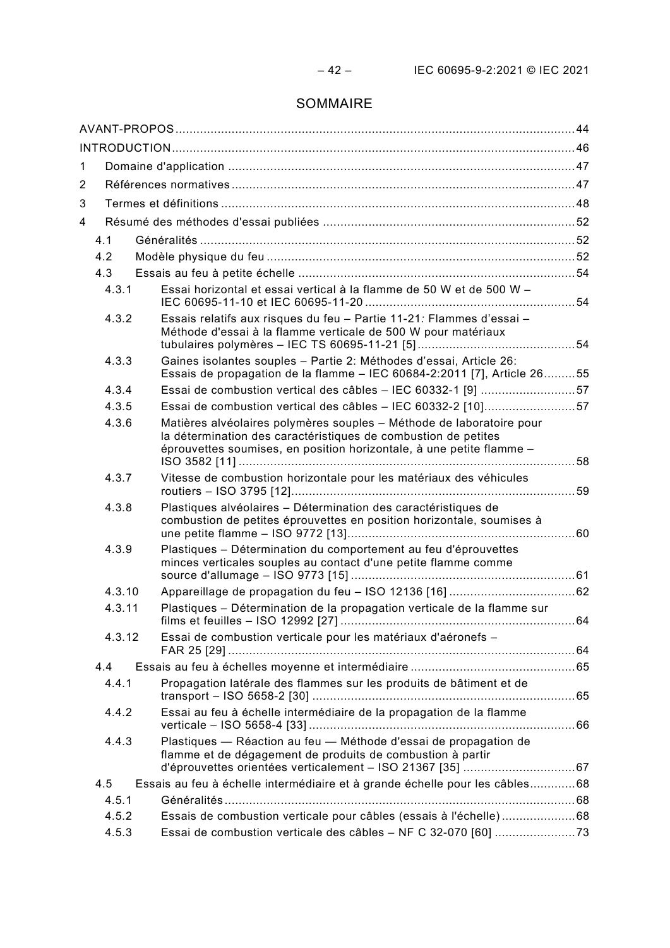# SOMMAIRE

| 1      |                                                                                                                                                                                                                |  |
|--------|----------------------------------------------------------------------------------------------------------------------------------------------------------------------------------------------------------------|--|
| 2      |                                                                                                                                                                                                                |  |
| 3      |                                                                                                                                                                                                                |  |
| 4      |                                                                                                                                                                                                                |  |
| 4.1    |                                                                                                                                                                                                                |  |
| 4.2    |                                                                                                                                                                                                                |  |
| 4.3    |                                                                                                                                                                                                                |  |
| 4.3.1  | Essai horizontal et essai vertical à la flamme de 50 W et de 500 W -                                                                                                                                           |  |
| 4.3.2  | Essais relatifs aux risques du feu - Partie 11-21: Flammes d'essai -<br>Méthode d'essai à la flamme verticale de 500 W pour matériaux                                                                          |  |
| 4.3.3  | Gaines isolantes souples - Partie 2: Méthodes d'essai, Article 26:<br>Essais de propagation de la flamme - IEC 60684-2:2011 [7], Article 2655                                                                  |  |
| 4.3.4  | Essai de combustion vertical des câbles - IEC 60332-1 [9] 57                                                                                                                                                   |  |
| 4.3.5  | Essai de combustion vertical des câbles - IEC 60332-2 [10]57                                                                                                                                                   |  |
| 4.3.6  | Matières alvéolaires polymères souples - Méthode de laboratoire pour<br>la détermination des caractéristiques de combustion de petites<br>éprouvettes soumises, en position horizontale, à une petite flamme - |  |
| 4.3.7  | Vitesse de combustion horizontale pour les matériaux des véhicules                                                                                                                                             |  |
| 4.3.8  | Plastiques alvéolaires - Détermination des caractéristiques de<br>combustion de petites éprouvettes en position horizontale, soumises à                                                                        |  |
| 4.3.9  | Plastiques - Détermination du comportement au feu d'éprouvettes<br>minces verticales souples au contact d'une petite flamme comme                                                                              |  |
| 4.3.10 |                                                                                                                                                                                                                |  |
| 4.3.11 | Plastiques - Détermination de la propagation verticale de la flamme sur                                                                                                                                        |  |
| 4.3.12 | Essai de combustion verticale pour les matériaux d'aéronefs -                                                                                                                                                  |  |
| 4.4    |                                                                                                                                                                                                                |  |
| 4.4.1  | Propagation latérale des flammes sur les produits de bâtiment et de                                                                                                                                            |  |
| 4.4.2  | Essai au feu à échelle intermédiaire de la propagation de la flamme                                                                                                                                            |  |
| 4.4.3  | Plastiques - Réaction au feu - Méthode d'essai de propagation de<br>flamme et de dégagement de produits de combustion à partir                                                                                 |  |
| 4.5    | Essais au feu à échelle intermédiaire et à grande échelle pour les câbles68                                                                                                                                    |  |
| 4.5.1  |                                                                                                                                                                                                                |  |
| 4.5.2  | Essais de combustion verticale pour câbles (essais à l'échelle)68                                                                                                                                              |  |
| 4.5.3  |                                                                                                                                                                                                                |  |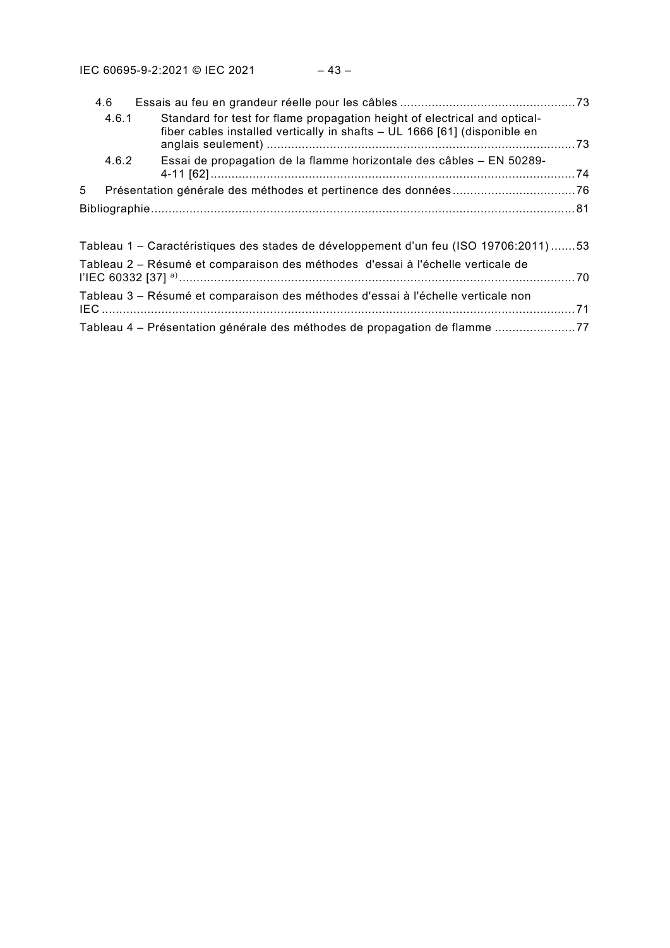| 4.6   |                                                                                                                                                        |  |
|-------|--------------------------------------------------------------------------------------------------------------------------------------------------------|--|
| 4.6.1 | Standard for test for flame propagation height of electrical and optical-<br>fiber cables installed vertically in shafts - UL 1666 [61] (disponible en |  |
| 4.6.2 | Essai de propagation de la flamme horizontale des câbles - EN 50289-                                                                                   |  |
| 5     |                                                                                                                                                        |  |
|       |                                                                                                                                                        |  |
|       |                                                                                                                                                        |  |
|       | Tableau 1 – Caractéristiques des stades de développement d'un feu (ISO 19706:2011) 53                                                                  |  |
|       | Tableau 2 – Résumé et comparaison des méthodes d'essai à l'échelle verticale de                                                                        |  |
|       | Tableau 3 - Résumé et comparaison des méthodes d'essai à l'échelle verticale non                                                                       |  |
|       | Tableau 4 – Présentation générale des méthodes de propagation de flamme 77                                                                             |  |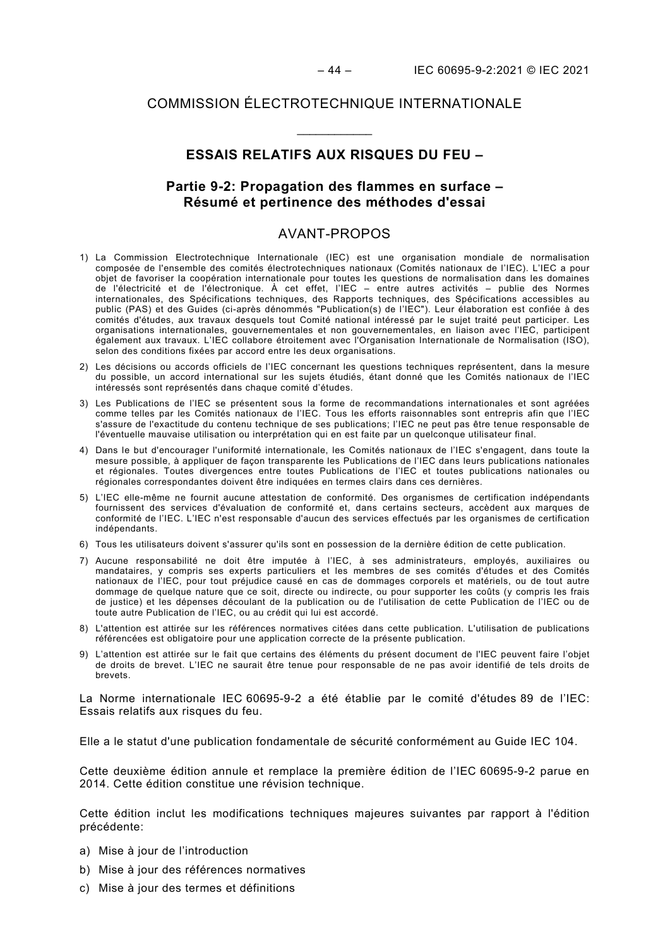#### COMMISSION ÉLECTROTECHNIQUE INTERNATIONALE

# **ESSAIS RELATIFS AUX RISQUES DU FEU –**

\_\_\_\_\_\_\_\_\_\_\_\_

# **Partie 9-2: Propagation des flammes en surface – Résumé et pertinence des méthodes d'essai**

#### AVANT-PROPOS

- <span id="page-10-0"></span>1) La Commission Electrotechnique Internationale (IEC) est une organisation mondiale de normalisation composée de l'ensemble des comités électrotechniques nationaux (Comités nationaux de l'IEC). L'IEC a pour objet de favoriser la coopération internationale pour toutes les questions de normalisation dans les domaines de l'électricité et de l'électronique. À cet effet, l'IEC – entre autres activités – publie des Normes internationales, des Spécifications techniques, des Rapports techniques, des Spécifications accessibles au public (PAS) et des Guides (ci-après dénommés "Publication(s) de l'IEC"). Leur élaboration est confiée à des comités d'études, aux travaux desquels tout Comité national intéressé par le sujet traité peut participer. Les organisations internationales, gouvernementales et non gouvernementales, en liaison avec l'IEC, participent également aux travaux. L'IEC collabore étroitement avec l'Organisation Internationale de Normalisation (ISO), selon des conditions fixées par accord entre les deux organisations.
- 2) Les décisions ou accords officiels de l'IEC concernant les questions techniques représentent, dans la mesure du possible, un accord international sur les sujets étudiés, étant donné que les Comités nationaux de l'IEC intéressés sont représentés dans chaque comité d'études.
- 3) Les Publications de l'IEC se présentent sous la forme de recommandations internationales et sont agréées comme telles par les Comités nationaux de l'IEC. Tous les efforts raisonnables sont entrepris afin que l'IEC s'assure de l'exactitude du contenu technique de ses publications; l'IEC ne peut pas être tenue responsable de l'éventuelle mauvaise utilisation ou interprétation qui en est faite par un quelconque utilisateur final.
- 4) Dans le but d'encourager l'uniformité internationale, les Comités nationaux de l'IEC s'engagent, dans toute la mesure possible, à appliquer de façon transparente les Publications de l'IEC dans leurs publications nationales et régionales. Toutes divergences entre toutes Publications de l'IEC et toutes publications nationales ou régionales correspondantes doivent être indiquées en termes clairs dans ces dernières.
- 5) L'IEC elle-même ne fournit aucune attestation de conformité. Des organismes de certification indépendants fournissent des services d'évaluation de conformité et, dans certains secteurs, accèdent aux marques de conformité de l'IEC. L'IEC n'est responsable d'aucun des services effectués par les organismes de certification indépendants.
- 6) Tous les utilisateurs doivent s'assurer qu'ils sont en possession de la dernière édition de cette publication.
- 7) Aucune responsabilité ne doit être imputée à l'IEC, à ses administrateurs, employés, auxiliaires ou mandataires, y compris ses experts particuliers et les membres de ses comités d'études et des Comités nationaux de l'IEC, pour tout préjudice causé en cas de dommages corporels et matériels, ou de tout autre dommage de quelque nature que ce soit, directe ou indirecte, ou pour supporter les coûts (y compris les frais de justice) et les dépenses découlant de la publication ou de l'utilisation de cette Publication de l'IEC ou de toute autre Publication de l'IEC, ou au crédit qui lui est accordé.
- 8) L'attention est attirée sur les références normatives citées dans cette publication. L'utilisation de publications référencées est obligatoire pour une application correcte de la présente publication.
- 9) L'attention est attirée sur le fait que certains des éléments du présent document de l'IEC peuvent faire l'objet de droits de brevet. L'IEC ne saurait être tenue pour responsable de ne pas avoir identifié de tels droits de brevets.

La Norme internationale IEC 60695-9-2 a été établie par le comité d'études 89 de l'IEC: Essais relatifs aux risques du feu.

Elle a le statut d'une publication fondamentale de sécurité conformément au Guide IEC 104.

Cette deuxième édition annule et remplace la première édition de l'IEC 60695-9-2 parue en 2014. Cette édition constitue une révision technique.

Cette édition inclut les modifications techniques majeures suivantes par rapport à l'édition précédente:

- a) Mise à jour de l'introduction
- b) Mise à jour des références normatives
- c) Mise à jour des termes et définitions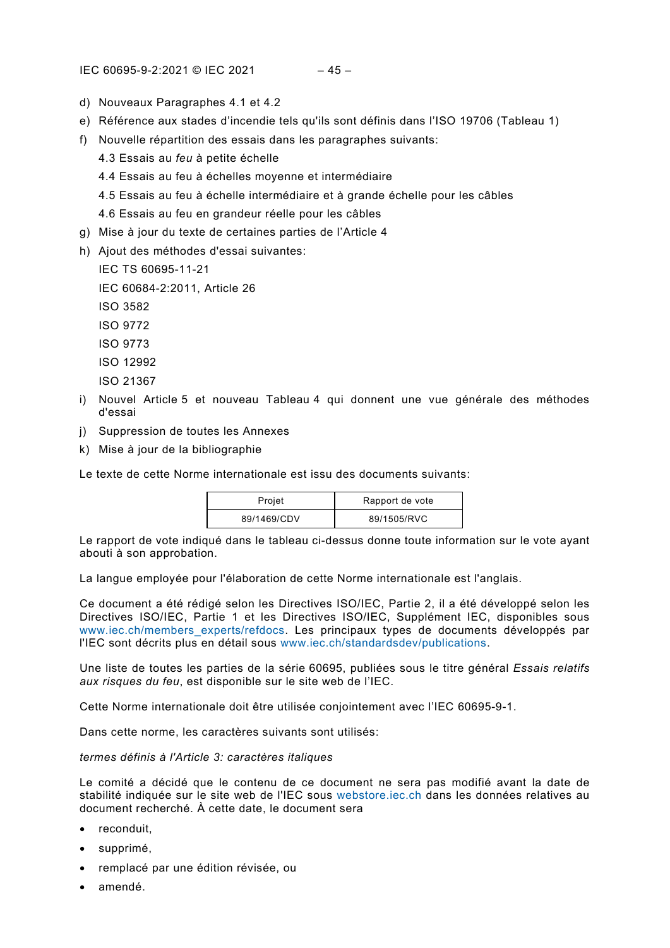#### IEC 60695-9-2:2021 © IEC 2021 – 45 –

- d) Nouveaux Paragraphes 4.1 et 4.2
- e) Référence aux stades d'incendie tels qu'ils sont définis dans l'ISO 19706 (Tableau 1)
- f) Nouvelle répartition des essais dans les paragraphes suivants:
	- 4.3 Essais au *feu* à petite échelle
	- 4.4 Essais au feu à échelles moyenne et intermédiaire
	- 4.5 Essais au feu à échelle intermédiaire et à grande échelle pour les câbles
	- 4.6 Essais au feu en grandeur réelle pour les câbles
- g) Mise à jour du texte de certaines parties de l'Article 4
- h) Ajout des méthodes d'essai suivantes:
	- IEC TS 60695-11-21
	- IEC 60684-2:2011, Article 26
	- ISO 3582
	- ISO 9772
	- ISO 9773
	- ISO 12992
	- ISO 21367
- i) Nouvel Article 5 et nouveau Tableau 4 qui donnent une vue générale des méthodes d'essai
- j) Suppression de toutes les Annexes
- k) Mise à jour de la bibliographie

Le texte de cette Norme internationale est issu des documents suivants:

| Projet      | Rapport de vote |
|-------------|-----------------|
| 89/1469/CDV | 89/1505/RVC     |

Le rapport de vote indiqué dans le tableau ci-dessus donne toute information sur le vote ayant abouti à son approbation.

La langue employée pour l'élaboration de cette Norme internationale est l'anglais.

Ce document a été rédigé selon les Directives ISO/IEC, Partie 2, il a été développé selon les Directives ISO/IEC, Partie 1 et les Directives ISO/IEC, Supplément IEC, disponibles sous [www.iec.ch/members\\_experts/refdocs.](http://www.iec.ch/members_experts/refdocs) Les principaux types de documents développés par l'IEC sont décrits plus en détail sous [www.iec.ch/standardsdev/publications.](http://www.iec.ch/standardsdev/publications)

Une liste de toutes les parties de la série 60695, publiées sous le titre général *Essais relatifs aux risques du feu*, est disponible sur le site web de l'IEC.

Cette Norme internationale doit être utilisée conjointement avec l'IEC 60695-9-1.

Dans cette norme, les caractères suivants sont utilisés:

#### *termes définis à l'Article 3: caractères italiques*

Le comité a décidé que le contenu de ce document ne sera pas modifié avant la date de stabilité indiquée sur le site web de l'IEC sous [webstore.iec.ch](https://webstore.iec.ch/?ref=menu) dans les données relatives au document recherché. À cette date, le document sera

- reconduit,
- supprimé,
- remplacé par une édition révisée, ou
- amendé.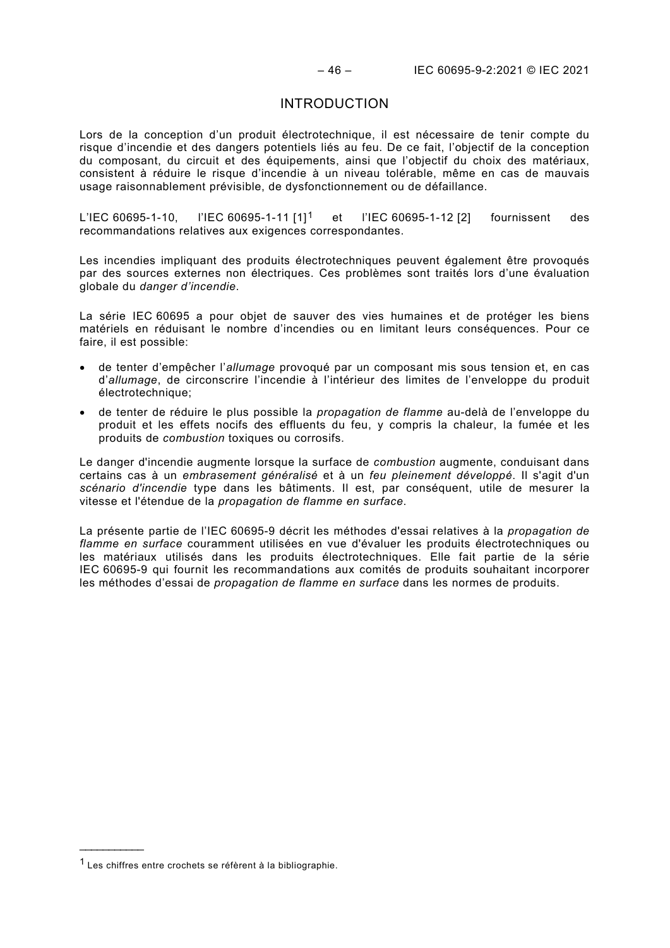#### INTRODUCTION

<span id="page-12-0"></span>Lors de la conception d'un produit électrotechnique, il est nécessaire de tenir compte du risque d'incendie et des dangers potentiels liés au feu. De ce fait, l'objectif de la conception du composant, du circuit et des équipements, ainsi que l'objectif du choix des matériaux, consistent à réduire le risque d'incendie à un niveau tolérable, même en cas de mauvais usage raisonnablement prévisible, de dysfonctionnement ou de défaillance.

L'IEC 60695-1-10, l'IEC 60695-1-11 [1][1](#page-12-1) et l'IEC 60695-1-12 [2] fournissent des recommandations relatives aux exigences correspondantes.

Les incendies impliquant des produits électrotechniques peuvent également être provoqués par des sources externes non électriques. Ces problèmes sont traités lors d'une évaluation globale du *danger d'incendie*.

La série IEC 60695 a pour objet de sauver des vies humaines et de protéger les biens matériels en réduisant le nombre d'incendies ou en limitant leurs conséquences. Pour ce faire, il est possible:

- de tenter d'empêcher l'*allumage* provoqué par un composant mis sous tension et, en cas d'*allumage*, de circonscrire l'incendie à l'intérieur des limites de l'enveloppe du produit électrotechnique;
- de tenter de réduire le plus possible la *propagation de flamme* au-delà de l'enveloppe du produit et les effets nocifs des effluents du feu, y compris la chaleur, la fumée et les produits de *combustion* toxiques ou corrosifs.

Le danger d'incendie augmente lorsque la surface de *combustion* augmente, conduisant dans certains cas à un *embrasement généralisé* et à un *feu pleinement développé*. Il s'agit d'un *scénario d'incendie* type dans les bâtiments. Il est, par conséquent, utile de mesurer la vitesse et l'étendue de la *propagation de flamme en surface*.

La présente partie de l'IEC 60695-9 décrit les méthodes d'essai relatives à la *propagation de flamme en surface* couramment utilisées en vue d'évaluer les produits électrotechniques ou les matériaux utilisés dans les produits électrotechniques. Elle fait partie de la série IEC 60695-9 qui fournit les recommandations aux comités de produits souhaitant incorporer les méthodes d'essai de *propagation de flamme en surface* dans les normes de produits.

\_\_\_\_\_\_\_\_\_\_\_\_\_

<span id="page-12-1"></span><sup>1</sup> Les chiffres entre crochets se réfèrent à la bibliographie.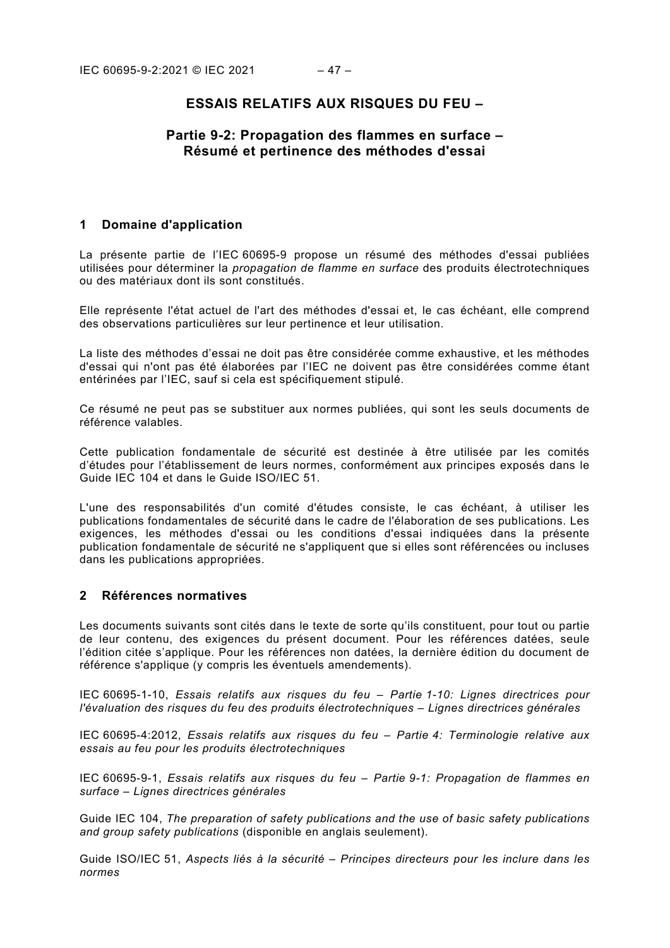# **ESSAIS RELATIFS AUX RISQUES DU FEU –**

# **Partie 9-2: Propagation des flammes en surface – Résumé et pertinence des méthodes d'essai**

#### <span id="page-13-0"></span>**1 Domaine d'application**

La présente partie de l'IEC 60695-9 propose un résumé des méthodes d'essai publiées utilisées pour déterminer la *propagation de flamme en surface* des produits électrotechniques ou des matériaux dont ils sont constitués.

Elle représente l'état actuel de l'art des méthodes d'essai et, le cas échéant, elle comprend des observations particulières sur leur pertinence et leur utilisation.

La liste des méthodes d'essai ne doit pas être considérée comme exhaustive, et les méthodes d'essai qui n'ont pas été élaborées par l'IEC ne doivent pas être considérées comme étant entérinées par l'IEC, sauf si cela est spécifiquement stipulé.

Ce résumé ne peut pas se substituer aux normes publiées, qui sont les seuls documents de référence valables.

Cette publication fondamentale de sécurité est destinée à être utilisée par les comités d'études pour l'établissement de leurs normes, conformément aux principes exposés dans le Guide IEC 104 et dans le Guide ISO/IEC 51.

L'une des responsabilités d'un comité d'études consiste, le cas échéant, à utiliser les publications fondamentales de sécurité dans le cadre de l'élaboration de ses publications. Les exigences, les méthodes d'essai ou les conditions d'essai indiquées dans la présente publication fondamentale de sécurité ne s'appliquent que si elles sont référencées ou incluses dans les publications appropriées.

#### <span id="page-13-1"></span>**2 Références normatives**

Les documents suivants sont cités dans le texte de sorte qu'ils constituent, pour tout ou partie de leur contenu, des exigences du présent document. Pour les références datées, seule l'édition citée s'applique. Pour les références non datées, la dernière édition du document de référence s'applique (y compris les éventuels amendements).

IEC 60695-1-10, *Essais relatifs aux risques du feu – Partie 1-10: Lignes directrices pour l'évaluation des risques du feu des produits électrotechniques – Lignes directrices générales*

IEC 60695-4:2012, *Essais relatifs aux risques du feu – Partie 4: Terminologie relative aux essais au feu pour les produits électrotechniques*

IEC 60695-9-1, *Essais relatifs aux risques du feu – Partie 9-1: Propagation de flammes en surface – Lignes directrices générales*

Guide IEC 104, *The preparation of safety publications and the use of basic safety publications and group safety publications* (disponible en anglais seulement).

Guide ISO/IEC 51, *Aspects liés à la sécurité – Principes directeurs pour les inclure dans les normes*